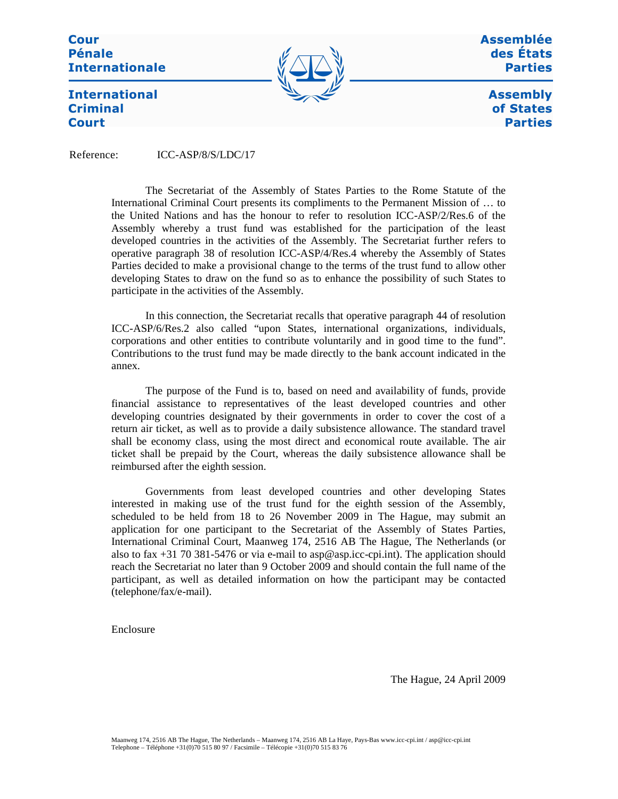**Cour Pénale Internationale** 



Assemblée des États **Parties** 

> **Assembly** of States **Parties**

**International Criminal Court** 

Reference: ICC-ASP/8/S/LDC/17

The Secretariat of the Assembly of States Parties to the Rome Statute of the International Criminal Court presents its compliments to the Permanent Mission of … to the United Nations and has the honour to refer to resolution ICC-ASP/2/Res.6 of the Assembly whereby a trust fund was established for the participation of the least developed countries in the activities of the Assembly. The Secretariat further refers to operative paragraph 38 of resolution ICC-ASP/4/Res.4 whereby the Assembly of States Parties decided to make a provisional change to the terms of the trust fund to allow other developing States to draw on the fund so as to enhance the possibility of such States to participate in the activities of the Assembly.

In this connection, the Secretariat recalls that operative paragraph 44 of resolution ICC-ASP/6/Res.2 also called "upon States, international organizations, individuals, corporations and other entities to contribute voluntarily and in good time to the fund". Contributions to the trust fund may be made directly to the bank account indicated in the annex.

The purpose of the Fund is to, based on need and availability of funds, provide financial assistance to representatives of the least developed countries and other developing countries designated by their governments in order to cover the cost of a return air ticket, as well as to provide a daily subsistence allowance. The standard travel shall be economy class, using the most direct and economical route available. The air ticket shall be prepaid by the Court, whereas the daily subsistence allowance shall be reimbursed after the eighth session.

Governments from least developed countries and other developing States interested in making use of the trust fund for the eighth session of the Assembly, scheduled to be held from 18 to 26 November 2009 in The Hague, may submit an application for one participant to the Secretariat of the Assembly of States Parties, International Criminal Court, Maanweg 174, 2516 AB The Hague, The Netherlands (or also to fax +31 70 381-5476 or via e-mail to asp@asp.icc-cpi.int). The application should reach the Secretariat no later than 9 October 2009 and should contain the full name of the participant, as well as detailed information on how the participant may be contacted (telephone/fax/e-mail).

Enclosure

The Hague, 24 April 2009